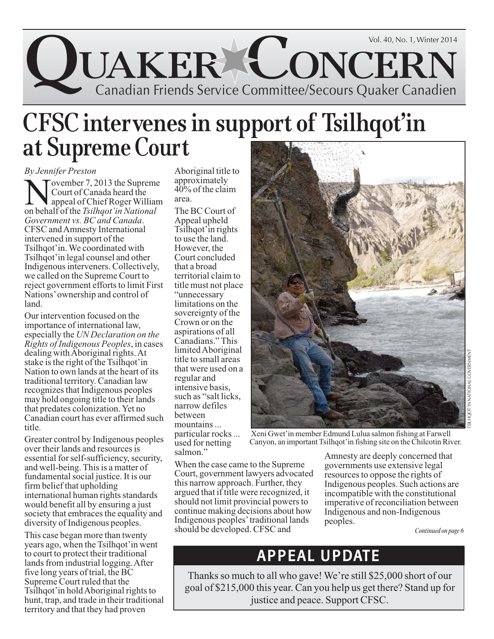

## **CFSC intervenes in support of Tsilhqot'in at Supreme Court**

#### *By Jennifer Preston*

Tovember 7, 2013 the Supreme Court of Canada heard the appeal of Chief Roger William on behalf of the *Tsilhqot'in National Government vs. BC and Canada*. CFSC and Amnesty International intervened in support of the Tsilhqot'in. We coordinated with Tsilhqot'in legal counsel and other Indigenous interveners. Collectively, we called on the Supreme Court to reject government efforts to limit First Nations' ownership and control of land.

Our intervention focused on the importance of international law, especially the *UN Declaration on the Rights of Indigenous Peoples*, in cases dealing with Aboriginal rights. At stake is the right of the Tsilhqot'in Nation to own lands at the heart of its traditional territory. Canadian law recognizes that Indigenous peoples may hold ongoing title to their lands that predates colonization. Yet no Canadian court has ever affirmed such title.

Greater control by Indigenous peoples over their lands and resources is essential for self-sufficiency, security, and well-being. This is a matter of fundamental social justice. It is our firm belief that upholding international human rights standards would benefit all by ensuring a just society that embraces the equality and diversity of Indigenous peoples.

This case began more than twenty years ago, when the Tsilhqot'in went to court to protect their traditional lands from industrial logging. After five long years of trial, the BC Supreme Court ruled that the Tsilhqot'in hold Aboriginal rights to hunt, trap, and trade in their traditional territory and that they had proven

Aboriginal title to approximately 40% of the claim area.

The BC Court of Appeal upheld Tsilhqot'in rights to use the land. However, the Court concluded that a broad territorial claim to title must not place "unnecessary limitations on the sovereignty of the Crown or on the aspirations of all Canadians." This limited Aboriginal title to small areas that were used on a regular and intensive basis, such as "salt licks, narrow defiles between mountains ... particular rocks ... used for netting salmon."



Xeni Gwet'in member Edmund Lulua salmon fishing at Farwell Canyon, an important Tsilhqot'in fishing site on the Chilcotin River.

When the case came to the Supreme Court, government lawyers advocated this narrow approach. Further, they argued that if title were recognized, it should not limit provincial powers to continue making decisions about how Indigenous peoples' traditional lands should be developed. CFSC and

Amnesty are deeply concerned that governments use extensive legal resources to oppose the rights of Indigenous peoples. Such actions are incompatible with the constitutional imperative of reconciliation between Indigenous and non-Indigenous peoples.

*Continued on page 6*

## APPEAL UPDATE

Thanks so much to all who gave! We're still \$25,000 short of our goal of \$215,000 this year. Can you help us get there? Stand up for justice and peace. Support CFSC.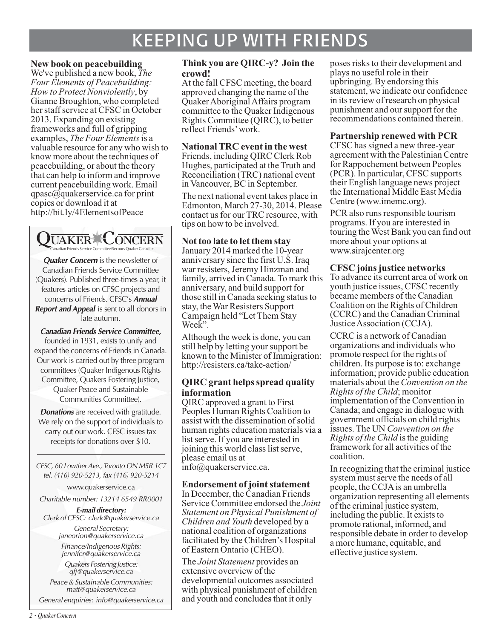## KEEPING UP WITH FRIENDS

#### **New book on peacebuilding**

We've published a new book, *The Four Elements of Peacebuilding: How to Protect Nonviolently*, by Gianne Broughton, who completed her staff service at CFSC in October 2013. Expanding on existing frameworks and full of gripping examples, *The Four Elements*is a valuable resource for any who wish to know more about the techniques of peacebuilding, or about the theory that can help to inform and improve current peacebuilding work. Email qpasc@quakerservice.ca for print copies or download it at http://bit.ly/4ElementsofPeace



**Quaker Concern** is the newsletter of Canadian Friends Service Committee (Quakers). Published three-times a year, it features articles on CFSC projects and concerns of Friends. CFSC's **Annual Report and Appeal** is sent to all donors in late autumn.

**Canadian Friends Service Committee,** founded in 1931, exists to unify and expand the concerns of Friends in Canada. Our work is carried out by three program committees (Quaker Indigenous Rights Committee, Quakers Fostering Justice, Quaker Peace and Sustainable Communities Committee).

**Donations** are received with gratitude. We rely on the support of individuals to carry out our work. CFSC issues tax receipts for donations over \$10.

CFSC, 60 Lowther Ave., Toronto ON M5R 1C7 tel. (416) 920-5213, fax (416) 920-5214

www.quakerservice.ca

Charitable number: 13214 6549 RR0001

**E-mail directory:** Clerk of CFSC: clerk@quakerservice.ca General Secretary:

janeorion@quakerservice.ca Finance/Indigenous Rights: jennifer@quakerservice.ca

Quakers Fostering Justice: qfj@quakerservice.ca

Peace & Sustainable Communities: matt@quakerservice.ca

General enquiries: info@quakerservice.ca

#### **Think you are QIRC-y? Join the crowd!**

At the fall CFSC meeting, the board approved changing the name of the Quaker Aboriginal Affairs program committee to the Quaker Indigenous Rights Committee (QIRC), to better reflect Friends' work.

#### **National TRC event in the west**

Friends, including QIRC Clerk Rob Hughes, participated at the Truth and Reconciliation (TRC) national event in Vancouver, BC in September.

The next national event takes place in Edmonton, March 27-30, 2014. Please contact us for our TRC resource, with tips on how to be involved.

#### **Not too late to let them stay**

January 2014 marked the 10-year anniversary since the first U.S. Iraq war resisters, Jeremy Hinzman and family, arrived in Canada. To mark this anniversary, and build support for those still in Canada seeking status to stay, the War Resisters Support Campaign held "Let Them Stay Week".

Although the week is done, you can still help by letting your support be known to the Minister of Immigration: http://resisters.ca/take-action/

#### **QIRC grant helps spread quality information**

QIRC approved a grant to First Peoples Human Rights Coalition to assist with the dissemination of solid human rights education materials via a list serve. If you are interested in joining this world class list serve, please email us at info@quakerservice.ca.

#### **Endorsement of joint statement**

In December, the Canadian Friends Service Committee endorsed the *Joint Statement on Physical Punishment of Children and Youth* developed by a national coalition of organizations facilitated by the Children's Hospital of Eastern Ontario (CHEO).

The *Joint Statement* provides an extensive overview of the developmental outcomes associated with physical punishment of children and youth and concludes that it only

poses risks to their development and plays no useful role in their upbringing. By endorsing this statement, we indicate our confidence in its review of research on physical punishment and our support for the recommendations contained therein.

#### **Partnership renewed with PCR**

CFSC has signed a new three-year agreement with the Palestinian Centre for Rappochement between Peoples (PCR). In particular, CFSC supports their English language news project the International Middle East Media Centre (www.imemc.org).

PCR also runs responsible tourism programs. If you are interested in touring the West Bank you can find out more about your options at www.sirajcenter.org

#### **CFSC joins justice networks**

To advance its current area of work on youth justice issues, CFSC recently became members of the Canadian Coalition on the Rights of Children (CCRC) and the Canadian Criminal Justice Association (CCJA).

CCRC is a network of Canadian organizations and individuals who promote respect for the rights of children. Its purpose is to: exchange information; provide public education materials about the *Convention on the Rights of the Child*; monitor implementation of the Convention in Canada; and engage in dialogue with government officials on child rights issues. The UN *Convention on the Rights of the Child* is the guiding framework for all activities of the coalition.

In recognizing that the criminal justice system must serve the needs of all people, the CCJA is an umbrella organization representing all elements of the criminal justice system, including the public. It exists to promote rational, informed, and responsible debate in order to develop a more humane, equitable, and effective justice system.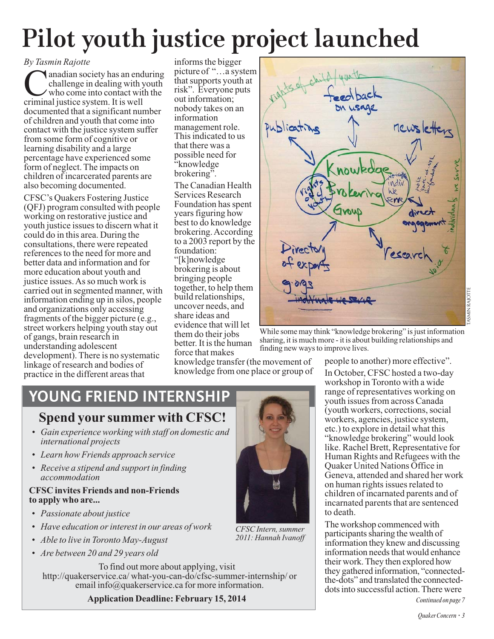# **Pilot youth justice project launched**

#### *By Tasmin Rajotte*

**C** anadian society has an enduring<br>challenge in dealing with youth<br>who come into contact with the<br>criminal instice system. It is well challenge in dealing with youth who come into contact with the criminal justice system. It is well documented that a significant number of children and youth that come into contact with the justice system suffer from some form of cognitive or learning disability and a large percentage have experienced some form of neglect. The impacts on children of incarcerated parents are also becoming documented.

CFSC's Quakers Fostering Justice (QFJ) program consulted with people working on restorative justice and youth justice issues to discern what it could do in this area. During the consultations, there were repeated references to the need for more and better data and information and for more education about youth and justice issues. As so much work is carried out in segmented manner, with information ending up in silos, people and organizations only accessing fragments of the bigger picture (e.g., street workers helping youth stay out of gangs, brain research in understanding adolescent development). There is no systematic linkage of research and bodies of practice in the different areas that

informs the bigger picture of "…a system that supports youth at risk". Everyone puts out information; nobody takes on an information management role. "knowledge

The Canadian Health Services Research Foundation has spent years figuring how best to do knowledge brokering. According foundation: "[k]nowledge brokering is about bringing people together, to help them build relationships, uncover needs, and share ideas and evidence that will let them do their jobs better. It is the human force that makes

knowledge transfer (the movement of knowledge from one place or group of

This indicated to us that there was a possible need for brokering". to a 2003 report by the recto

> While some may think "knowledge brokering" is just information sharing, it is much more - it is about building relationships and finding new ways to improve lives.

YOUNG FRIEND INTERNSHIP

### **Spend your summer with CFSC!**

- *Gain experience working with staff on domestic and international projects*
- *Learn how Friends approach service*
- *Receive a stipend and support in finding accommodation*

#### **CFSC invites Friends and non-Friends to apply who are...**

- *Passionate about justice*
- *Have education or interest in our areas of work*
- *Able to live in Toronto May-August*
- *Are between 20 and 29 years old*

To find out more about applying, visit http://quakerservice.ca/ what-you-can-do/cfsc-summer-internship/ or email info@quakerservice.ca for more information.

**Application Deadline: February 15, 2014**



*2011: Hannah Ivanoff* 

people to another) more effective". In October, CFSC hosted a two-day workshop in Toronto with a wide range of representatives working on youth issues from across Canada (youth workers, corrections, social workers, agencies, justice system, etc.) to explore in detail what this "knowledge brokering" would look like. Rachel Brett, Representative for Human Rights and Refugees with the Quaker United Nations Office in Geneva, attended and shared her work on human rights issues related to children of incarnated parents and of incarnated parents that are sentenced to death.

The workshop commenced with participants sharing the wealth of information they knew and discussing information needs that would enhance their work. They then explored how they gathered information, "connectedthe-dots" and translated the connecteddots into successful action. There were

*Continued on page 7*

TASMIN RAJOTTE

11N RAIOTTE

newsletters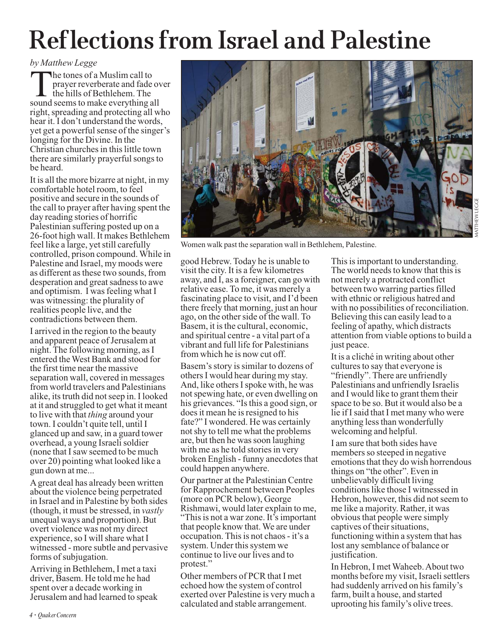## **Reflections from Israel and Palestine**

#### *by Matthew Legge*

The tones of a Muslim call to prayer reverberate and fade over the hills of Bethlehem. The sound seems to make everything all right, spreading and protecting all who hear it. I don't understand the words, yet get a powerful sense of the singer's longing for the Divine. In the Christian churches in this little town there are similarly prayerful songs to be heard.

It is all the more bizarre at night, in my comfortable hotel room, to feel positive and secure in the sounds of the call to prayer after having spent the day reading stories of horrific Palestinian suffering posted up on a 26-foot high wall. It makes Bethlehem feel like a large, yet still carefully controlled, prison compound. While in Palestine and Israel, my moods were as different as these two sounds, from desperation and great sadness to awe and optimism. I was feeling what I was witnessing: the plurality of realities people live, and the contradictions between them.

I arrived in the region to the beauty and apparent peace of Jerusalem at night. The following morning, as I entered the West Bank and stood for the first time near the massive separation wall, covered in messages from world travelers and Palestinians alike, its truth did not seep in. I looked at it and struggled to get what it meant to live with that *thing* around your town. I couldn't quite tell, until I glanced up and saw, in a guard tower overhead, a young Israeli soldier (none that I saw seemed to be much over 20) pointing what looked like a gun down at me...

A great deal has already been written about the violence being perpetrated in Israel and in Palestine by both sides (though, it must be stressed, in *vastly* unequal ways and proportion). But overt violence was not my direct experience, so I will share what I witnessed - more subtle and pervasive forms of subjugation.

Arriving in Bethlehem, I met a taxi driver, Basem. He told me he had spent over a decade working in Jerusalem and had learned to speak



Women walk past the separation wall in Bethlehem, Palestine.

good Hebrew. Today he is unable to visit the city. It is a few kilometres away, and I, as a foreigner, can go with relative ease. To me, it was merely a fascinating place to visit, and I'd been there freely that morning, just an hour ago, on the other side of the wall. To Basem, it is the cultural, economic, and spiritual centre - a vital part of a vibrant and full life for Palestinians from which he is now cut off.

Basem's story is similar to dozens of others I would hear during my stay. And, like others I spoke with, he was not spewing hate, or even dwelling on his grievances. "Is this a good sign, or does it mean he is resigned to his fate?" I wondered. He was certainly not shy to tell me what the problems are, but then he was soon laughing with me as he told stories in very broken English - funny anecdotes that could happen anywhere.

Our partner at the Palestinian Centre for Rapprochement between Peoples (more on PCR below), George Rishmawi, would later explain to me, "This is not a war zone. It's important that people know that. We are under occupation. This is not chaos - it's a system. Under this system we continue to live our lives and to protest."

Other members of PCR that I met echoed how the system of control exerted over Palestine is very much a calculated and stable arrangement.

This is important to understanding. The world needs to know that this is not merely a protracted conflict between two warring parties filled with ethnic or religious hatred and with no possibilities of reconciliation. Believing this can easily lead to a feeling of apathy, which distracts attention from viable options to build a just peace.

It is a cliché in writing about other cultures to say that everyone is "friendly". There are unfriendly Palestinians and unfriendly Israelis and I would like to grant them their space to be so. But it would also be a lie if I said that I met many who were anything less than wonderfully welcoming and helpful.

I am sure that both sides have members so steeped in negative emotions that they do wish horrendous things on "the other". Even in unbelievably difficult living conditions like those I witnessed in Hebron, however, this did not seem to me like a majority. Rather, it was obvious that people were simply captives of their situations, functioning within a system that has lost any semblance of balance or justification.

In Hebron, I met Waheeb. About two months before my visit, Israeli settlers had suddenly arrived on his family's farm, built a house, and started uprooting his family's olive trees.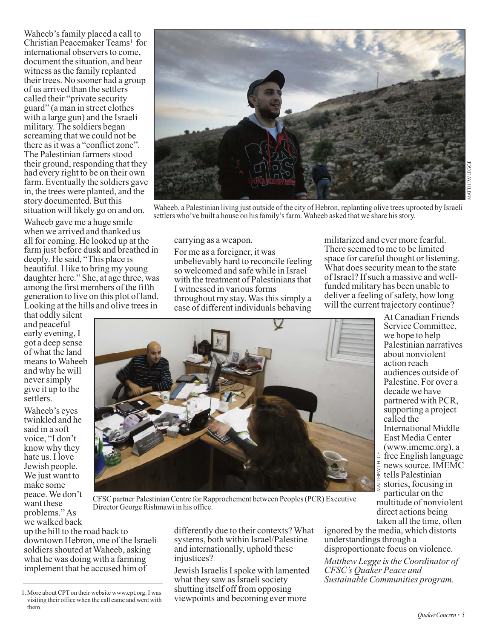Waheeb's family placed a call to Christian Peacemaker Teams<sup>1</sup> for international observers to come, document the situation, and bear witness as the family replanted their trees. No sooner had a group of us arrived than the settlers called their "private security guard" (a man in street clothes with a large gun) and the Israeli military. The soldiers began screaming that we could not be there as it was a "conflict zone". The Palestinian farmers stood their ground, responding that they had every right to be on their own farm. Eventually the soldiers gave in, the trees were planted, and the story documented. But this situation will likely go on and on.

Waheeb gave me a huge smile when we arrived and thanked us all for coming. He looked up at the farm just before dusk and breathed in deeply. He said, "This place is beautiful. I like to bring my young daughter here." She, at age three, was among the first members of the fifth generation to live on this plot of land. Looking at the hills and olive trees in

that oddly silent and peaceful early evening, I got a deep sense of what the land means to Waheeb and why he will never simply give it up to the settlers.

Waheeb's eyes twinkled and he said in a soft voice, "I don't know why they hate us. I love Jewish people. We just want to make some peace. We don't want these problems." As we walked back



Waheeb, a Palestinian living just outside of the city of Hebron, replanting olive trees uprooted by Israeli settlers who've built a house on his family's farm. Waheeb asked that we share his story.

carrying as a weapon.

For me as a foreigner, it was unbelievably hard to reconcile feeling so welcomed and safe while in Israel with the treatment of Palestinians that I witnessed in various forms throughout my stay. Was this simply a case of different individuals behaving

militarized and ever more fearful. There seemed to me to be limited space for careful thought or listening. What does security mean to the state of Israel? If such a massive and wellfunded military has been unable to deliver a feeling of safety, how long will the current trajectory continue?



At Canadian Friends Service Committee, we hope to help Palestinian narratives about nonviolent action reach audiences outside of Palestine. For over a decade we have partnered with PCR, supporting a project called the International Middle East Media Center (www.imemc.org), a free English language news source. IMEMC tells Palestinian stories, focusing in particular on the multitude of nonviolent direct actions being

CFSC partner Palestinian Centre for Rapprochement between Peoples (PCR) Executive Director George Rishmawi in his office.

up the hill to the road back to downtown Hebron, one of the Israeli soldiers shouted at Waheeb, asking what he was doing with a farming implement that he accused him of

differently due to their contexts? What systems, both within Israel/Palestine and internationally, uphold these injustices?

Jewish Israelis I spoke with lamented what they saw as Israeli society shutting itself off from opposing viewpoints and becoming ever more

taken all the time, often ignored by the media, which distorts understandings through a disproportionate focus on violence.

*Matthew Legge is the Coordinator of CFSC's Quaker Peace and Sustainable Communities program.*

<sup>1.</sup> More about CPT on their website www.cpt.org. I was visiting their office when the call came and went with them.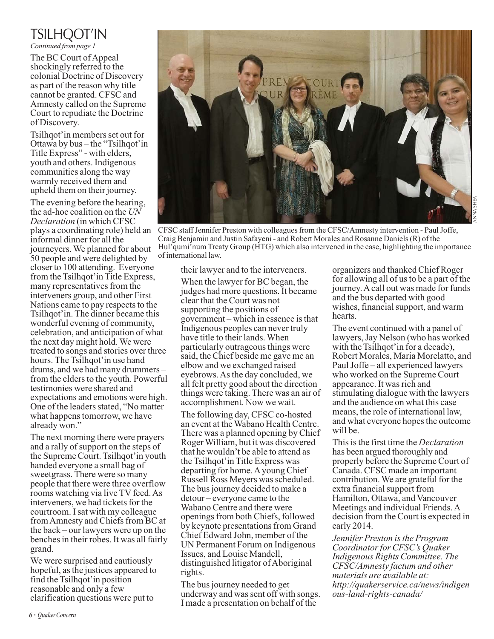### TSILHQOT'IN

*Continued from page 1*

The BC Court of Appeal shockingly referred to the colonial Doctrine of Discovery as part of the reason why title cannot be granted. CFSC and Amnesty called on the Supreme Court to repudiate the Doctrine of Discovery.

Tsilhqot'in members set out for Ottawa by bus – the "Tsilhqot'in Title Express" - with elders, youth and others. Indigenous communities along the way warmly received them and upheld them on their journey.

The evening before the hearing, the ad-hoc coalition on the *UN Declaration* (in which CFSC plays a coordinating role) held an informal dinner for all the journeyers. We planned for about 50 people and were delighted by closer to 100 attending. Everyone from the Tsilhqot'in Title Express, many representatives from the interveners group, and other First Nations came to pay respects to the Tsilhqot'in. The dinner became this wonderful evening of community, celebration, and anticipation of what the next day might hold. We were treated to songs and stories over three hours. The Tsilhqot'in use hand drums, and we had many drummers – from the elders to the youth. Powerful testimonies were shared and expectations and emotions were high. One of the leaders stated, "No matter what happens tomorrow, we have already won."

The next morning there were prayers and a rally of support on the steps of the Supreme Court. Tsilhqot'in youth handed everyone a small bag of sweetgrass. There were so many people that there were three overflow rooms watching via live TV feed. As interveners, we had tickets for the courtroom. I sat with my colleague from Amnesty and Chiefs from BC at the back – our lawyers were up on the benches in their robes. It was all fairly grand.

We were surprised and cautiously hopeful, as the justices appeared to find the Tsilhqot'in position reasonable and only a few clarification questions were put to



CFSC staff Jennifer Preston with colleagues from the CFSC/Amnesty intervention - Paul Joffe, Craig Benjamin and Justin Safayeni - and Robert Morales and Rosanne Daniels (R) of the Hul'qumi'num Treaty Group (HTG) which also intervened in the case, highlighting the importance of international law.

their lawyer and to the interveners.

When the lawyer for BC began, the judges had more questions. It became clear that the Court was not supporting the positions of government – which in essence is that Indigenous peoples can never truly have title to their lands. When particularly outrageous things were said, the Chief beside me gave me an elbow and we exchanged raised eyebrows. As the day concluded, we all felt pretty good about the direction things were taking. There was an air of accomplishment. Now we wait.

The following day, CFSC co-hosted an event at the Wabano Health Centre. There was a planned opening by Chief Roger William, but it was discovered that he wouldn't be able to attend as the Tsilhqot'in Title Express was departing for home. A young Chief Russell Ross Meyers was scheduled. The bus journey decided to make a detour – everyone came to the Wabano Centre and there were openings from both Chiefs, followed by keynote presentations from Grand Chief Edward John, member of the UN Permanent Forum on Indigenous Issues, and Louise Mandell, distinguished litigator of Aboriginal rights.

The bus journey needed to get underway and was sent off with songs. I made a presentation on behalf of the

organizers and thanked Chief Roger for allowing all of us to be a part of the journey. A call out was made for funds and the bus departed with good wishes, financial support, and warm hearts.

The event continued with a panel of lawyers, Jay Nelson (who has worked with the Tsilhqot' in for a decade), Robert Morales, Maria Morelatto, and Paul Joffe – all experienced lawyers who worked on the Supreme Court appearance. It was rich and stimulating dialogue with the lawyers and the audience on what this case means, the role of international law, and what everyone hopes the outcome will be.

This is the first time the *Declaration* has been argued thoroughly and properly before the Supreme Court of Canada. CFSC made an important contribution. We are grateful for the extra financial support from Hamilton, Ottawa, and Vancouver Meetings and individual Friends. A decision from the Court is expected in early 2014.

*Jennifer Preston is the Program Coordinator for CFSC's Quaker Indigenous Rights Committee. The CFSC/Amnesty factum and other materials are available at: http://quakerservice.ca/news/indigen ous-land-rights-canada/*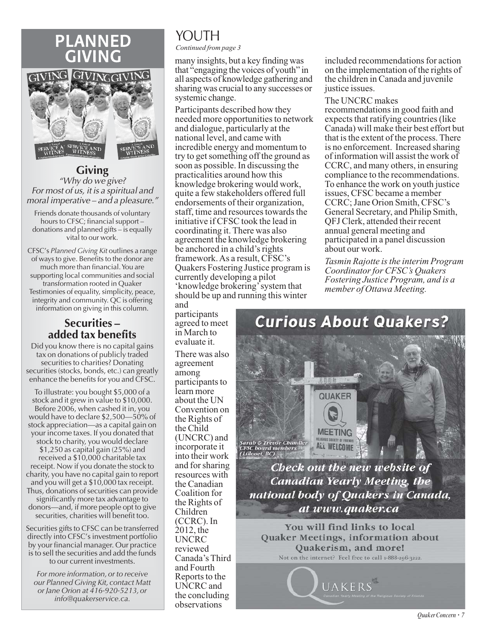### PLANNED GIVING



**Giving** "Why do we give? For most of us, it is a spiritual and moral imperative – and a pleasure."

Friends donate thousands of voluntary hours to CFSC; financial support – donations and planned gifts – is equally vital to our work.

CFSC's *Planned Giving Kit* outlines a range of ways to give. Benefits to the donor are much more than financial. You are supporting local communities and social transformation rooted in Quaker Testimonies of equality, simplicity, peace, integrity and community. QC is offering information on giving in this column.

#### **Securities – added tax benefits**

Did you know there is no capital gains tax on donations of publicly traded securities to charities? Donating securities (stocks, bonds, etc.) can greatly enhance the benefits for you and CFSC.

To illustrate: you bought \$5,000 of a stock and it grew in value to \$10,000. Before 2006, when cashed it in, you would have to declare \$2,500—50% of stock appreciation—as a capital gain on your income taxes. If you donated that stock to charity, you would declare \$1,250 as capital gain (25%) and received a \$10,000 charitable tax receipt. Now if you donate the stock to charity, you have no capital gain to report and you will get a \$10,000 tax receipt. Thus, donations of securities can provide significantly more tax advantage to donors—and, if more people opt to give securities, charities will benefit too.

Securities gifts to CFSC can be transferred directly into CFSC's investment portfolio by your financial manager. Our practice is to sell the securities and add the funds to our current investments.

*For more information, or to receive our Planned Giving Kit, contact Matt or Jane Orion at 416-920-5213, or info@quakerservice.ca.* 

## YOUTH

*Continued from page 3*

many insights, but a key finding was that "engaging the voices of youth" in all aspects of knowledge gathering and sharing was crucial to any successes or systemic change.

Participants described how they needed more opportunities to network and dialogue, particularly at the national level, and came with incredible energy and momentum to try to get something off the ground as soon as possible. In discussing the practicalities around how this knowledge brokering would work, quite a few stakeholders offered full endorsements of their organization, staff, time and resources towards the initiative if CFSC took the lead in coordinating it. There was also agreement the knowledge brokering be anchored in a child's rights framework. As a result, CFSC's Quakers Fostering Justice program is currently developing a pilot 'knowledge brokering' system that should be up and running this winter

and participants agreed to meet in March to evaluate it. There was also agreement among participants to learn more about the UN Convention on the Rights of the Child (UNCRC) and incorporate it into their work and for sharing resources with the Canadian Coalition for the Rights of Children (CCRC). In 2012, the UNCRC reviewed Canada's Third and Fourth

Reports to the UNCRC and the concluding observations

included recommendations for action on the implementation of the rights of the children in Canada and juvenile justice issues.

#### The UNCRC makes

recommendations in good faith and expects that ratifying countries (like Canada) will make their best effort but that is the extent of the process. There is no enforcement. Increased sharing of information will assist the work of CCRC, and many others, in ensuring compliance to the recommendations. To enhance the work on youth justice issues, CFSC became a member CCRC; Jane Orion Smith, CFSC's General Secretary, and Philip Smith, QFJ Clerk, attended their recent annual general meeting and participated in a panel discussion about our work.

*Tasmin Rajotte is the interim Program Coordinator for CFSC's Quakers Fostering Justice Program, and is a member of Ottawa Meeting.* 



**Canadian Yearly Meeting, the** national body of Quakers in Canada, at www.quaker.ca

You will find links to local Quaker Meetings, information about Quakerism, and more! Not on the internet? Feel free to call 1-888-296-3222.

UAKERS